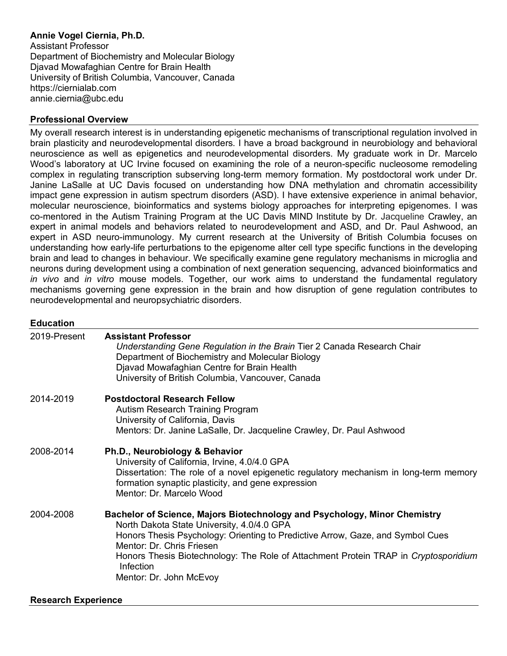# **Annie Vogel Ciernia, Ph.D.**

Assistant Professor Department of Biochemistry and Molecular Biology Djavad Mowafaghian Centre for Brain Health University of British Columbia, Vancouver, Canada https://ciernialab.com annie.ciernia@ubc.edu

## **Professional Overview**

My overall research interest is in understanding epigenetic mechanisms of transcriptional regulation involved in brain plasticity and neurodevelopmental disorders. I have a broad background in neurobiology and behavioral neuroscience as well as epigenetics and neurodevelopmental disorders. My graduate work in Dr. Marcelo Wood's laboratory at UC Irvine focused on examining the role of a neuron-specific nucleosome remodeling complex in regulating transcription subserving long-term memory formation. My postdoctoral work under Dr. Janine LaSalle at UC Davis focused on understanding how DNA methylation and chromatin accessibility impact gene expression in autism spectrum disorders (ASD). I have extensive experience in animal behavior, molecular neuroscience, bioinformatics and systems biology approaches for interpreting epigenomes. I was co-mentored in the Autism Training Program at the UC Davis MIND Institute by Dr. Jacqueline Crawley, an expert in animal models and behaviors related to neurodevelopment and ASD, and Dr. Paul Ashwood, an expert in ASD neuro-immunology. My current research at the University of British Columbia focuses on understanding how early-life perturbations to the epigenome alter cell type specific functions in the developing brain and lead to changes in behaviour. We specifically examine gene regulatory mechanisms in microglia and neurons during development using a combination of next generation sequencing, advanced bioinformatics and *in vivo* and *in vitro* mouse models. Together, our work aims to understand the fundamental regulatory mechanisms governing gene expression in the brain and how disruption of gene regulation contributes to neurodevelopmental and neuropsychiatric disorders.

## **Education**

| 2019-Present | <b>Assistant Professor</b><br>Understanding Gene Regulation in the Brain Tier 2 Canada Research Chair<br>Department of Biochemistry and Molecular Biology<br>Djavad Mowafaghian Centre for Brain Health<br>University of British Columbia, Vancouver, Canada                                                                                                                 |
|--------------|------------------------------------------------------------------------------------------------------------------------------------------------------------------------------------------------------------------------------------------------------------------------------------------------------------------------------------------------------------------------------|
| 2014-2019    | <b>Postdoctoral Research Fellow</b><br>Autism Research Training Program<br>University of California, Davis<br>Mentors: Dr. Janine LaSalle, Dr. Jacqueline Crawley, Dr. Paul Ashwood                                                                                                                                                                                          |
| 2008-2014    | Ph.D., Neurobiology & Behavior<br>University of California, Irvine, 4.0/4.0 GPA<br>Dissertation: The role of a novel epigenetic regulatory mechanism in long-term memory<br>formation synaptic plasticity, and gene expression<br>Mentor: Dr. Marcelo Wood                                                                                                                   |
| 2004-2008    | Bachelor of Science, Majors Biotechnology and Psychology, Minor Chemistry<br>North Dakota State University, 4.0/4.0 GPA<br>Honors Thesis Psychology: Orienting to Predictive Arrow, Gaze, and Symbol Cues<br>Mentor: Dr. Chris Friesen<br>Honors Thesis Biotechnology: The Role of Attachment Protein TRAP in Cryptosporidium<br><b>Infection</b><br>Mentor: Dr. John McEvoy |

#### **Research Experience**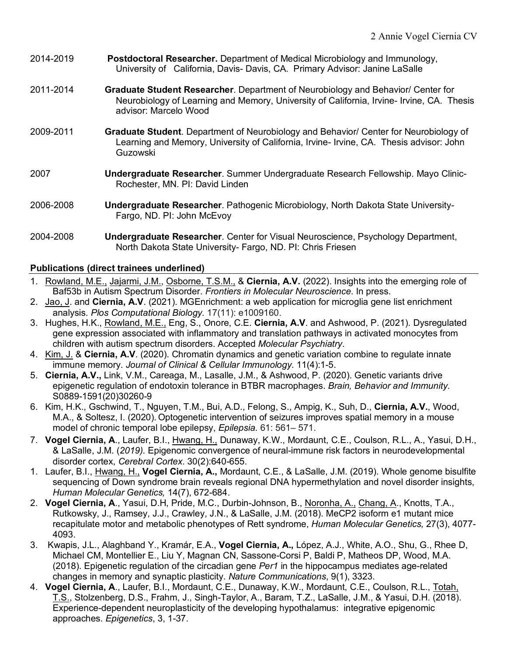- 2014-2019 **Postdoctoral Researcher.** Department of Medical Microbiology and Immunology, University of California, Davis- Davis, CA. Primary Advisor: Janine LaSalle
- 2011-2014 **Graduate Student Researcher**. Department of Neurobiology and Behavior/ Center for Neurobiology of Learning and Memory, University of California, Irvine- Irvine, CA. Thesis advisor: Marcelo Wood
- 2009-2011 **Graduate Student**. Department of Neurobiology and Behavior/ Center for Neurobiology of Learning and Memory, University of California, Irvine- Irvine, CA. Thesis advisor: John Guzowski
- 2007 **Undergraduate Researcher**. Summer Undergraduate Research Fellowship. Mayo Clinic-Rochester, MN. PI: David Linden
- 2006-2008 **Undergraduate Researcher**. Pathogenic Microbiology, North Dakota State University-Fargo, ND. PI: John McEvoy
- 2004-2008 **Undergraduate Researcher**. Center for Visual Neuroscience, Psychology Department, North Dakota State University- Fargo, ND. PI: Chris Friesen

## **Publications (direct trainees underlined)**

- 1. Rowland, M.E., Jajarmi, J.M., Osborne, T.S.M., & **Ciernia, A.V.** (2022). Insights into the emerging role of Baf53b in Autism Spectrum Disorder. *Frontiers in Molecular Neuroscience*. In press.
- 2. Jao, J. and **Ciernia, A.V**. (2021). MGEnrichment: a web application for microglia gene list enrichment analysis. *Plos Computational Biology.* 17(11): e1009160.
- 3. Hughes, H.K., Rowland, M.E., Eng, S., Onore, C.E. **Ciernia, A.V**. and Ashwood, P. (2021). Dysregulated gene expression associated with inflammatory and translation pathways in activated monocytes from children with autism spectrum disorders. Accepted *Molecular Psychiatry*.
- 4. Kim, J. & **Ciernia, A.V**. (2020). Chromatin dynamics and genetic variation combine to regulate innate immune memory. *Journal of Clinical & Cellular Immunology*. 11(4):1-5.
- 5. **Ciernia, A.V.,** Link, V.M., Careaga, M., Lasalle, J.M., & Ashwood, P. (2020). Genetic variants drive epigenetic regulation of endotoxin tolerance in BTBR macrophages. *Brain, Behavior and Immunity*. S0889-1591(20)30260-9
- 6. Kim, H.K., Gschwind, T., Nguyen, T.M., Bui, A.D., Felong, S., Ampig, K., Suh, D., **Ciernia, A.V.**, Wood, M.A., & Soltesz, I. (2020). Optogenetic intervention of seizures improves spatial memory in a mouse model of chronic temporal lobe epilepsy, *Epilepsia*. 61: 561– 571.
- 7. **Vogel Ciernia, A**., Laufer, B.I., Hwang, H., Dunaway, K.W., Mordaunt, C.E., Coulson, R.L., A., Yasui, D.H., & LaSalle, J.M. (*2019).* Epigenomic convergence of neural-immune risk factors in neurodevelopmental disorder cortex, *Cerebral Cortex.* 30(2):640-655.
- 1. Laufer, B.I., Hwang, H., **Vogel Ciernia, A.,** Mordaunt, C.E., & LaSalle, J.M. (2019). Whole genome bisulfite sequencing of Down syndrome brain reveals regional DNA hypermethylation and novel disorder insights, *Human Molecular Genetics,* 14(7), 672-684.
- 2. **Vogel Ciernia, A**., Yasui, D.H, Pride, M.C., Durbin-Johnson, B., Noronha, A., Chang, A., Knotts, T.A., Rutkowsky, J., Ramsey, J.J., Crawley, J.N., & LaSalle, J.M. (2018). MeCP2 isoform e1 mutant mice recapitulate motor and metabolic phenotypes of Rett syndrome, *Human Molecular Genetics,* 27(3), 4077- 4093.
- 3. Kwapis, J.L., Alaghband Y., Kramár, E.A., **Vogel Ciernia, A.,** López, A.J., White, A.O., Shu, G., Rhee D, Michael CM, Montellier E., Liu Y, Magnan CN, Sassone-Corsi P, Baldi P, Matheos DP, Wood, M.A. (2018). Epigenetic regulation of the circadian gene *Per1* in the hippocampus mediates age-related changes in memory and synaptic plasticity. *Nature Communications*, 9(1), 3323.
- 4. **Vogel Ciernia, A**., Laufer, B.I., Mordaunt, C.E., Dunaway, K.W., Mordaunt, C.E., Coulson, R.L., Totah, T.S., Stolzenberg, D.S., Frahm, J., Singh-Taylor, A., Baram, T.Z., LaSalle, J.M., & Yasui, D.H. (2018). Experience-dependent neuroplasticity of the developing hypothalamus: integrative epigenomic approaches. *Epigenetics*, 3, 1-37.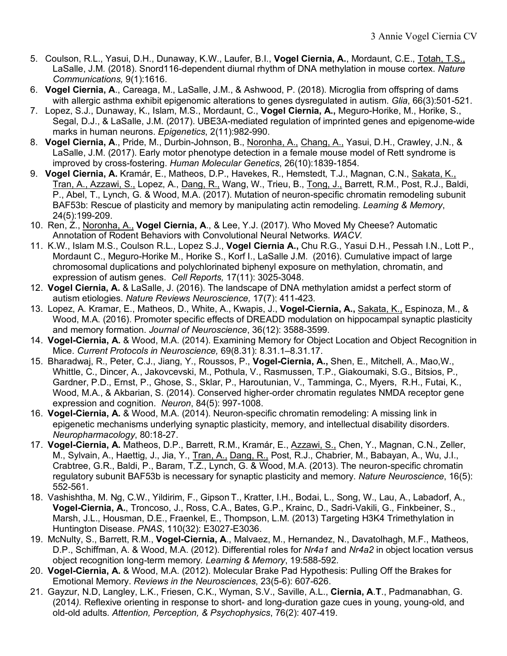- 5. Coulson, R.L., Yasui, D.H., Dunaway, K.W., Laufer, B.I., **Vogel Ciernia, A.**, Mordaunt, C.E., Totah, T.S., LaSalle, J.M*.* (2018). Snord116-dependent diurnal rhythm of DNA methylation in mouse cortex. *Nature Communications,* 9(1):1616.
- 6. **Vogel Ciernia, A**., Careaga, M., LaSalle, J.M., & Ashwood, P. (2018). Microglia from offspring of dams with allergic asthma exhibit epigenomic alterations to genes dysregulated in autism. *Glia*, 66(3):501-521.
- 7. Lopez, S.J., Dunaway, K., Islam, M.S., Mordaunt, C., **Vogel Ciernia, A.,** Meguro-Horike, M., Horike, S., Segal, D.J., & LaSalle, J.M. (2017). UBE3A-mediated regulation of imprinted genes and epigenome-wide marks in human neurons. *Epigenetics*, 2(11):982-990.
- 8. **Vogel Ciernia, A**., Pride, M., Durbin-Johnson, B., Noronha, A., Chang, A., Yasui, D.H., Crawley, J.N., & LaSalle, J.M. (2017). Early motor phenotype detection in a female mouse model of Rett syndrome is improved by cross-fostering. *Human Molecular Genetics*, 26(10):1839-1854.
- 9. **Vogel Ciernia, A.** Kramár, E., Matheos, D.P., Havekes, R., Hemstedt, T.J., Magnan, C.N., Sakata, K., Tran, A., Azzawi, S., Lopez, A., Dang, R., Wang, W., Trieu, B., Tong, J., Barrett, R.M., Post, R.J., Baldi, P., Abel, T., Lynch, G. & Wood, M.A. (2017). Mutation of neuron-specific chromatin remodeling subunit BAF53b: Rescue of plasticity and memory by manipulating actin remodeling. *Learning & Memory*, 24(5):199-209.
- 10. Ren, Z., Noronha, A., **Vogel Ciernia, A**., & Lee, Y.J. (2017). Who Moved My Cheese? Automatic Annotation of Rodent Behaviors with Convolutional Neural Networks. *WACV.*
- 11. K.W., Islam M.S., Coulson R.L., Lopez S.J., **Vogel Ciernia A.,** Chu R.G., Yasui D.H., Pessah I.N., Lott P., Mordaunt C., Meguro-Horike M., Horike S., Korf I., LaSalle J.M. (2016). Cumulative impact of large chromosomal duplications and polychlorinated biphenyl exposure on methylation, chromatin, and expression of autism genes. *Cell Reports,* 17(11): 3025-3048.
- 12. **Vogel Ciernia, A.** & LaSalle, J. (2016). The landscape of DNA methylation amidst a perfect storm of autism etiologies. *Nature Reviews Neuroscience,* 17(7): 411-423.
- 13. Lopez, A. Kramar, E., Matheos, D., White, A., Kwapis, J., **Vogel-Ciernia, A.,** Sakata, K., Espinoza, M., & Wood, M.A. (2016). Promoter specific effects of DREADD modulation on hippocampal synaptic plasticity and memory formation. *Journal of Neuroscience*, 36(12): 3588-3599.
- 14. **Vogel-Ciernia, A.** & Wood, M.A. (2014). Examining Memory for Object Location and Object Recognition in Mice. *Current Protocols in Neuroscience,* 69(8.31): 8.31.1–8.31.17.
- 15. Bharadwaj, R., Peter, C.J., Jiang, Y., Roussos, P., **Vogel-Ciernia, A.,** Shen, E., Mitchell, A., Mao,W., Whittle, C., Dincer, A., Jakovcevski, M., Pothula, V., Rasmussen, T.P., Giakoumaki, S.G., Bitsios, P., Gardner, P.D., Ernst, P., Ghose, S., Sklar, P., Haroutunian, V., Tamminga, C., Myers, R.H., Futai, K., Wood, M.A., & Akbarian, S. (2014). Conserved higher-order chromatin regulates NMDA receptor gene expression and cognition. *Neuron*, 84(5): 997-1008.
- 16. **Vogel-Ciernia, A.** & Wood, M.A. (2014). Neuron-specific chromatin remodeling: A missing link in epigenetic mechanisms underlying synaptic plasticity, memory, and intellectual disability disorders. *Neuropharmacology*, 80:18-27.
- 17. **Vogel-Ciernia, A.** Matheos, D.P., Barrett, R.M., Kramár, E., Azzawi, S., Chen, Y., Magnan, C.N., Zeller, M., Sylvain, A., Haettig, J., Jia, Y., Tran, A., Dang, R., Post, R.J., Chabrier, M., Babayan, A., Wu, J.I., Crabtree, G.R., Baldi, P., Baram, T.Z., Lynch, G. & Wood, M.A. (2013). The neuron-specific chromatin regulatory subunit BAF53b is necessary for synaptic plasticity and memory. *Nature Neuroscience*, 16(5): 552-561.
- 18. Vashishtha, M. Ng, C.W., Yildirim, F., Gipson T., Kratter, I.H., Bodai, L., Song, W., Lau, A., Labadorf, A., **Vogel-Ciernia, A.**, Troncoso, J., Ross, C.A., Bates, G.P., Krainc, D., Sadri-Vakili, G., Finkbeiner, S., Marsh, J.L., Housman, D.E., Fraenkel, E., Thompson, L.M. (2013) Targeting H3K4 Trimethylation in Huntington Disease. *PNAS*, 110(32): E3027-E3036.
- 19. McNulty, S., Barrett, R.M., **Vogel-Ciernia, A**., Malvaez, M., Hernandez, N., Davatolhagh, M.F., Matheos, D.P., Schiffman, A. & Wood, M.A. (2012). Differential roles for *Nr4a1* and *Nr4a2* in object location versus object recognition long-term memory*. Learning & Memory*, 19:588-592*.*
- 20. **Vogel-Ciernia, A.** & Wood, M.A. (2012). Molecular Brake Pad Hypothesis: Pulling Off the Brakes for Emotional Memory. *Reviews in the Neurosciences*, 23(5-6): 607-626.
- 21. Gayzur, N.D, Langley, L.K., Friesen, C.K., Wyman, S.V., Saville, A.L., **Ciernia, A**.**T**., Padmanabhan, G. (2014*).* Reflexive orienting in response to short- and long-duration gaze cues in young, young-old, and old-old adults. *Attention, Perception, & Psychophysics*, 76(2): 407-419.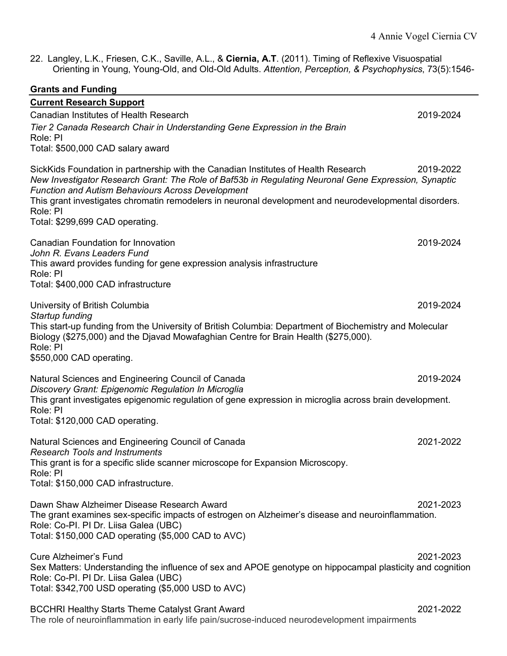22. Langley, L.K., Friesen, C.K., Saville, A.L., & **Ciernia, A.T**. (2011). Timing of Reflexive Visuospatial Orienting in Young, Young-Old, and Old-Old Adults. *Attention, Perception, & Psychophysics*, 73(5):1546-

| <b>Grants and Funding</b>                                                                                                                                                                                                                              |           |
|--------------------------------------------------------------------------------------------------------------------------------------------------------------------------------------------------------------------------------------------------------|-----------|
| <b>Current Research Support</b>                                                                                                                                                                                                                        |           |
| Canadian Institutes of Health Research                                                                                                                                                                                                                 | 2019-2024 |
| Tier 2 Canada Research Chair in Understanding Gene Expression in the Brain                                                                                                                                                                             |           |
| Role: PI                                                                                                                                                                                                                                               |           |
| Total: \$500,000 CAD salary award                                                                                                                                                                                                                      |           |
| SickKids Foundation in partnership with the Canadian Institutes of Health Research<br>New Investigator Research Grant: The Role of Baf53b in Regulating Neuronal Gene Expression, Synaptic<br><b>Function and Autism Behaviours Across Development</b> | 2019-2022 |
| This grant investigates chromatin remodelers in neuronal development and neurodevelopmental disorders.<br>Role: PI                                                                                                                                     |           |
| Total: \$299,699 CAD operating.                                                                                                                                                                                                                        |           |
|                                                                                                                                                                                                                                                        |           |
| Canadian Foundation for Innovation                                                                                                                                                                                                                     | 2019-2024 |
| John R. Evans Leaders Fund                                                                                                                                                                                                                             |           |
| This award provides funding for gene expression analysis infrastructure<br>Role: PI                                                                                                                                                                    |           |
| Total: \$400,000 CAD infrastructure                                                                                                                                                                                                                    |           |
|                                                                                                                                                                                                                                                        |           |
| University of British Columbia<br>Startup funding                                                                                                                                                                                                      | 2019-2024 |
| This start-up funding from the University of British Columbia: Department of Biochemistry and Molecular<br>Biology (\$275,000) and the Djavad Mowafaghian Centre for Brain Health (\$275,000).<br>Role: PI                                             |           |
| \$550,000 CAD operating.                                                                                                                                                                                                                               |           |
| Natural Sciences and Engineering Council of Canada                                                                                                                                                                                                     | 2019-2024 |
| Discovery Grant: Epigenomic Regulation In Microglia                                                                                                                                                                                                    |           |
| This grant investigates epigenomic regulation of gene expression in microglia across brain development.                                                                                                                                                |           |
| Role: PI<br>Total: \$120,000 CAD operating.                                                                                                                                                                                                            |           |
|                                                                                                                                                                                                                                                        |           |
| Natural Sciences and Engineering Council of Canada                                                                                                                                                                                                     | 2021-2022 |
| <b>Research Tools and Instruments</b>                                                                                                                                                                                                                  |           |
| This grant is for a specific slide scanner microscope for Expansion Microscopy.<br>Role: PI                                                                                                                                                            |           |
| Total: \$150,000 CAD infrastructure.                                                                                                                                                                                                                   |           |
|                                                                                                                                                                                                                                                        |           |
| Dawn Shaw Alzheimer Disease Research Award<br>The grant examines sex-specific impacts of estrogen on Alzheimer's disease and neuroinflammation.<br>Role: Co-PI. PI Dr. Liisa Galea (UBC)<br>Total: \$150,000 CAD operating (\$5,000 CAD to AVC)        | 2021-2023 |
|                                                                                                                                                                                                                                                        |           |
| <b>Cure Alzheimer's Fund</b><br>Sex Matters: Understanding the influence of sex and APOE genotype on hippocampal plasticity and cognition<br>Role: Co-PI. PI Dr. Liisa Galea (UBC)<br>Total: \$342,700 USD operating (\$5,000 USD to AVC)              | 2021-2023 |
|                                                                                                                                                                                                                                                        | 2021-2022 |
| <b>BCCHRI Healthy Starts Theme Catalyst Grant Award</b><br>The role of neuroinflammation in early life pain/sucrose-induced neurodevelopment impairments                                                                                               |           |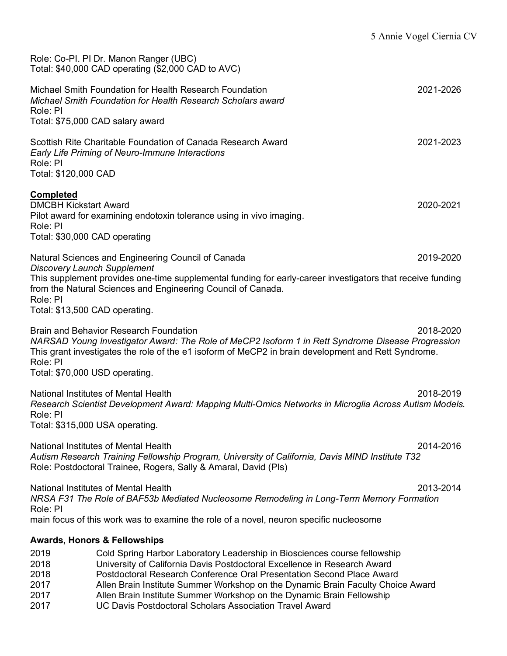|                                                                                               | Role: Co-PI. PI Dr. Manon Ranger (UBC)<br>Total: \$40,000 CAD operating (\$2,000 CAD to AVC)                                                                                                                                                                                                                      |           |
|-----------------------------------------------------------------------------------------------|-------------------------------------------------------------------------------------------------------------------------------------------------------------------------------------------------------------------------------------------------------------------------------------------------------------------|-----------|
| Role: PI                                                                                      | Michael Smith Foundation for Health Research Foundation<br>Michael Smith Foundation for Health Research Scholars award<br>Total: \$75,000 CAD salary award                                                                                                                                                        | 2021-2026 |
| Role: PI<br>Total: \$120,000 CAD                                                              | Scottish Rite Charitable Foundation of Canada Research Award<br>Early Life Priming of Neuro-Immune Interactions                                                                                                                                                                                                   | 2021-2023 |
| <b>Completed</b><br><b>DMCBH Kickstart Award</b><br>Role: PI<br>Total: \$30,000 CAD operating | Pilot award for examining endotoxin tolerance using in vivo imaging.                                                                                                                                                                                                                                              | 2020-2021 |
|                                                                                               | Natural Sciences and Engineering Council of Canada                                                                                                                                                                                                                                                                | 2019-2020 |
| <b>Discovery Launch Supplement</b><br>Role: PI<br>Total: \$13,500 CAD operating.              | This supplement provides one-time supplemental funding for early-career investigators that receive funding<br>from the Natural Sciences and Engineering Council of Canada.                                                                                                                                        |           |
| Role: PI<br>Total: \$70,000 USD operating.                                                    | <b>Brain and Behavior Research Foundation</b><br>NARSAD Young Investigator Award: The Role of MeCP2 Isoform 1 in Rett Syndrome Disease Progression<br>This grant investigates the role of the e1 isoform of MeCP2 in brain development and Rett Syndrome.                                                         | 2018-2020 |
| Role: PI<br>Total: \$315,000 USA operating.                                                   | National Institutes of Mental Health<br>Research Scientist Development Award: Mapping Multi-Omics Networks in Microglia Across Autism Models.                                                                                                                                                                     | 2018-2019 |
|                                                                                               | National Institutes of Mental Health<br>Autism Research Training Fellowship Program, University of California, Davis MIND Institute T32<br>Role: Postdoctoral Trainee, Rogers, Sally & Amaral, David (PIs)                                                                                                        | 2014-2016 |
| Role: PI                                                                                      | National Institutes of Mental Health<br>NRSA F31 The Role of BAF53b Mediated Nucleosome Remodeling in Long-Term Memory Formation<br>main focus of this work was to examine the role of a novel, neuron specific nucleosome                                                                                        | 2013-2014 |
|                                                                                               | <b>Awards, Honors &amp; Fellowships</b>                                                                                                                                                                                                                                                                           |           |
| 2019<br>2018<br>2018<br>2017                                                                  | Cold Spring Harbor Laboratory Leadership in Biosciences course fellowship<br>University of California Davis Postdoctoral Excellence in Research Award<br>Postdoctoral Research Conference Oral Presentation Second Place Award<br>Allen Rrain Institute Summer Workshon on the Dynamic Rrain Eaculty Choice Award |           |

- 2017 Allen Brain Institute Summer Workshop on the Dynamic Brain Faculty Choice Award
- 2017 Allen Brain Institute Summer Workshop on the Dynamic Brain Fellowship<br>2017 UC Davis Postdoctoral Scholars Association Travel Award
- UC Davis Postdoctoral Scholars Association Travel Award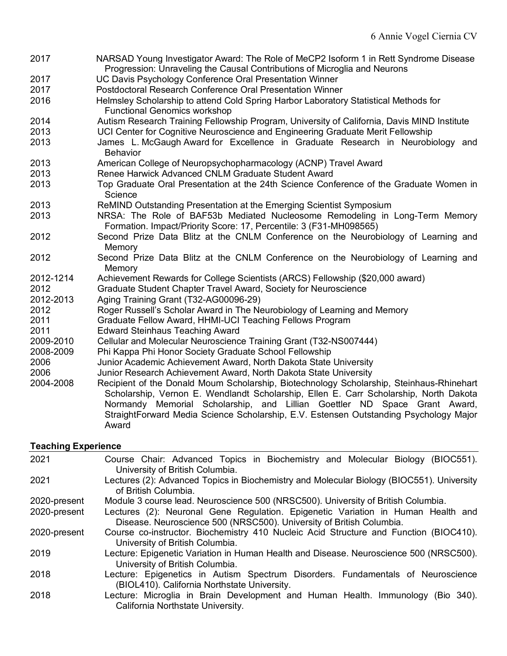2017 NARSAD Young Investigator Award: The Role of MeCP2 Isoform 1 in Rett Syndrome Disease Progression: Unraveling the Causal Contributions of Microglia and Neurons 2017 UC Davis Psychology Conference Oral Presentation Winner 2017 Postdoctoral Research Conference Oral Presentation Winner 2016 Helmsley Scholarship to attend Cold Spring Harbor Laboratory Statistical Methods for Functional Genomics workshop 2014 Autism Research Training Fellowship Program, University of California, Davis MIND Institute 2013 UCI Center for Cognitive Neuroscience and Engineering Graduate Merit Fellowship 2013 James L. McGaugh Award for Excellence in Graduate Research in Neurobiology and **Behavior** 2013 American College of Neuropsychopharmacology (ACNP) Travel Award 2013 Renee Harwick Advanced CNLM Graduate Student Award 2013 Top Graduate Oral Presentation at the 24th Science Conference of the Graduate Women in Science 2013 ReMIND Outstanding Presentation at the Emerging Scientist Symposium 2013 NRSA: The Role of BAF53b Mediated Nucleosome Remodeling in Long-Term Memory Formation. Impact/Priority Score: 17, Percentile: 3 (F31-MH098565) 2012 Second Prize Data Blitz at the CNLM Conference on the Neurobiology of Learning and Memory 2012 Second Prize Data Blitz at the CNLM Conference on the Neurobiology of Learning and **Memory** 2012-1214 Achievement Rewards for College Scientists (ARCS) Fellowship (\$20,000 award) 2012 Graduate Student Chapter Travel Award, Society for Neuroscience 2012-2013 Aging Training Grant (T32-AG00096-29) 2012 Roger Russell's Scholar Award in The Neurobiology of Learning and Memory 2011 Graduate Fellow Award, HHMI-UCI Teaching Fellows Program 2011 Edward Steinhaus Teaching Award 2009-2010 Cellular and Molecular Neuroscience Training Grant (T32-NS007444) 2008-2009 Phi Kappa Phi Honor Society Graduate School Fellowship 2006 Junior Academic Achievement Award, North Dakota State University 2006 Junior Research Achievement Award, North Dakota State University 2004-2008 Recipient of the Donald Moum Scholarship, Biotechnology Scholarship, Steinhaus-Rhinehart Scholarship, Vernon E. Wendlandt Scholarship, Ellen E. Carr Scholarship, North Dakota Normandy Memorial Scholarship, and Lillian Goettler ND Space Grant Award, StraightForward Media Science Scholarship, E.V. Estensen Outstanding Psychology Major Award

## **Teaching Experience**

| 2021         | Course Chair: Advanced Topics in Biochemistry and Molecular Biology (BIOC551).                                                  |
|--------------|---------------------------------------------------------------------------------------------------------------------------------|
|              | University of British Columbia.                                                                                                 |
| 2021         | Lectures (2): Advanced Topics in Biochemistry and Molecular Biology (BIOC551). University<br>of British Columbia.               |
| 2020-present | Module 3 course lead. Neuroscience 500 (NRSC500). University of British Columbia.                                               |
| 2020-present | Lectures (2): Neuronal Gene Regulation. Epigenetic Variation in Human Health and                                                |
|              | Disease. Neuroscience 500 (NRSC500). University of British Columbia.                                                            |
| 2020-present | Course co-instructor. Biochemistry 410 Nucleic Acid Structure and Function (BIOC410).                                           |
|              | University of British Columbia.                                                                                                 |
| 2019         | Lecture: Epigenetic Variation in Human Health and Disease. Neuroscience 500 (NRSC500).<br>University of British Columbia.       |
| 2018         | Lecture: Epigenetics in Autism Spectrum Disorders. Fundamentals of Neuroscience<br>(BIOL410). California Northstate University. |
| 2018         | Lecture: Microglia in Brain Development and Human Health. Immunology (Bio 340).<br>California Northstate University.            |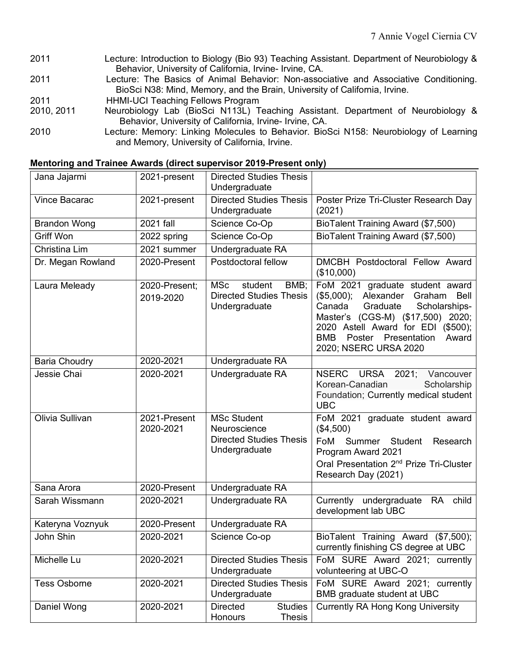- 2011 Lecture: Introduction to Biology (Bio 93) Teaching Assistant. Department of Neurobiology & Behavior, University of California, Irvine- Irvine, CA.
- 2011 Lecture: The Basics of Animal Behavior: Non-associative and Associative Conditioning. BioSci N38: Mind, Memory, and the Brain, University of California, Irvine.
- 2011 HHMI-UCI Teaching Fellows Program
- 2010, 2011 Neurobiology Lab (BioSci N113L) Teaching Assistant. Department of Neurobiology & Behavior, University of California, Irvine- Irvine, CA.
- 2010 Lecture: Memory: Linking Molecules to Behavior. BioSci N158: Neurobiology of Learning and Memory, University of California, Irvine.

| Jana Jajarmi         | 2021-present               | <b>Directed Studies Thesis</b><br>Undergraduate                                       |                                                                                                                                                                                                                                                          |
|----------------------|----------------------------|---------------------------------------------------------------------------------------|----------------------------------------------------------------------------------------------------------------------------------------------------------------------------------------------------------------------------------------------------------|
| Vince Bacarac        | 2021-present               | <b>Directed Studies Thesis</b><br>Undergraduate                                       | Poster Prize Tri-Cluster Research Day<br>(2021)                                                                                                                                                                                                          |
| <b>Brandon Wong</b>  | 2021 fall                  | Science Co-Op                                                                         | BioTalent Training Award (\$7,500)                                                                                                                                                                                                                       |
| Griff Won            | 2022 spring                | Science Co-Op                                                                         | BioTalent Training Award (\$7,500)                                                                                                                                                                                                                       |
| Christina Lim        | 2021 summer                | Undergraduate RA                                                                      |                                                                                                                                                                                                                                                          |
| Dr. Megan Rowland    | 2020-Present               | Postdoctoral fellow                                                                   | DMCBH Postdoctoral Fellow Award<br>(\$10,000)                                                                                                                                                                                                            |
| Laura Meleady        | 2020-Present;<br>2019-2020 | MSc<br>student<br>BMB;<br><b>Directed Studies Thesis</b><br>Undergraduate             | FoM 2021 graduate student award<br>(\$5,000); Alexander Graham<br>Bell<br>Scholarships-<br>Canada<br>Graduate<br>Master's (CGS-M) (\$17,500) 2020;<br>2020 Astell Award for EDI (\$500);<br>Poster Presentation<br>BMB<br>Award<br>2020; NSERC URSA 2020 |
| <b>Baria Choudry</b> | 2020-2021                  | Undergraduate RA                                                                      |                                                                                                                                                                                                                                                          |
| Jessie Chai          | 2020-2021                  | Undergraduate RA                                                                      | NSERC URSA 2021; Vancouver<br>Korean-Canadian<br>Scholarship<br>Foundation; Currently medical student<br><b>UBC</b>                                                                                                                                      |
| Olivia Sullivan      | 2021-Present<br>2020-2021  | <b>MSc Student</b><br>Neuroscience<br><b>Directed Studies Thesis</b><br>Undergraduate | FoM 2021 graduate student award<br>(\$4,500)<br>FoM Summer Student Research<br>Program Award 2021<br>Oral Presentation 2 <sup>nd</sup> Prize Tri-Cluster<br>Research Day (2021)                                                                          |
| Sana Arora           | 2020-Present               | Undergraduate RA                                                                      |                                                                                                                                                                                                                                                          |
| Sarah Wissmann       | 2020-2021                  | Undergraduate RA                                                                      | Currently undergraduate RA child<br>development lab UBC                                                                                                                                                                                                  |
| Kateryna Voznyuk     | 2020-Present               | Undergraduate RA                                                                      |                                                                                                                                                                                                                                                          |
| John Shin            | 2020-2021                  | Science Co-op                                                                         | BioTalent Training Award (\$7,500);<br>currently finishing CS degree at UBC                                                                                                                                                                              |
| Michelle Lu          | 2020-2021                  | <b>Directed Studies Thesis</b><br>Undergraduate                                       | FoM SURE Award 2021; currently<br>volunteering at UBC-O                                                                                                                                                                                                  |
| <b>Tess Osborne</b>  | 2020-2021                  | <b>Directed Studies Thesis</b><br>Undergraduate                                       | FoM SURE Award 2021; currently<br>BMB graduate student at UBC                                                                                                                                                                                            |
| Daniel Wong          | 2020-2021                  | <b>Directed</b><br><b>Studies</b><br>Honours<br><b>Thesis</b>                         | <b>Currently RA Hong Kong University</b>                                                                                                                                                                                                                 |

#### **Mentoring and Trainee Awards (direct supervisor 2019-Present only)**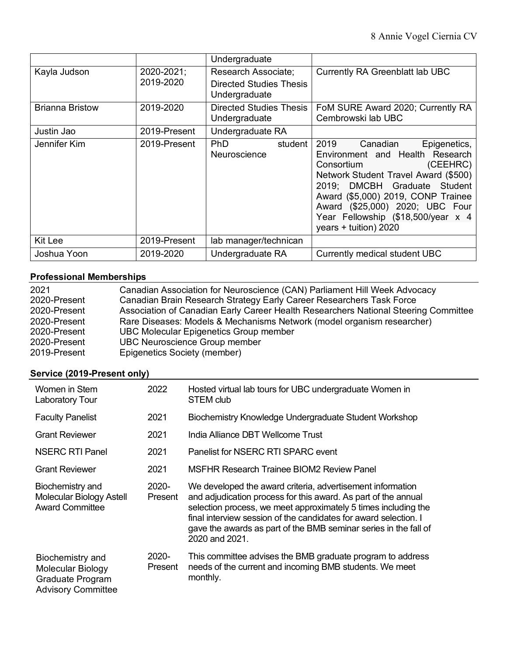|                        |                         | Undergraduate                                                          |                                                                                                                                                                                                                                                                                                               |
|------------------------|-------------------------|------------------------------------------------------------------------|---------------------------------------------------------------------------------------------------------------------------------------------------------------------------------------------------------------------------------------------------------------------------------------------------------------|
| Kayla Judson           | 2020-2021;<br>2019-2020 | Research Associate;<br><b>Directed Studies Thesis</b><br>Undergraduate | Currently RA Greenblatt lab UBC                                                                                                                                                                                                                                                                               |
| <b>Brianna Bristow</b> | 2019-2020               | <b>Directed Studies Thesis</b><br>Undergraduate                        | FoM SURE Award 2020; Currently RA<br>Cembrowski lab UBC                                                                                                                                                                                                                                                       |
| Justin Jao             | 2019-Present            | Undergraduate RA                                                       |                                                                                                                                                                                                                                                                                                               |
| Jennifer Kim           | 2019-Present            | PhD.<br>student<br>Neuroscience                                        | 2019<br>Canadian<br>Epigenetics,<br>Environment and Health Research<br>(CEEHRC)<br>Consortium<br>Network Student Travel Award (\$500)<br>2019; DMCBH Graduate Student<br>Award (\$5,000) 2019, CONP Trainee<br>Award (\$25,000) 2020; UBC Four<br>Year Fellowship (\$18,500/year x 4<br>years + tuition) 2020 |
| Kit Lee                | 2019-Present            | lab manager/technican                                                  |                                                                                                                                                                                                                                                                                                               |
| Joshua Yoon            | 2019-2020               | Undergraduate RA                                                       | Currently medical student UBC                                                                                                                                                                                                                                                                                 |

# **Professional Memberships**

| <b>Professional Memberships</b> |                                                                                     |  |
|---------------------------------|-------------------------------------------------------------------------------------|--|
| 2021                            | Canadian Association for Neuroscience (CAN) Parliament Hill Week Advocacy           |  |
| 2020-Present                    | Canadian Brain Research Strategy Early Career Researchers Task Force                |  |
| 2020-Present                    | Association of Canadian Early Career Health Researchers National Steering Committee |  |
| 2020-Present                    | Rare Diseases: Models & Mechanisms Network (model organism researcher)              |  |
| 2020-Present                    | <b>UBC Molecular Epigenetics Group member</b>                                       |  |
| 2020-Present                    | <b>UBC Neuroscience Group member</b>                                                |  |
| 2019-Present                    | Epigenetics Society (member)                                                        |  |

# **Service (2019-Present only)**

| Women in Stem<br><b>Laboratory Tour</b>                                                | 2022             | Hosted virtual lab tours for UBC undergraduate Women in<br>STEM club                                                                                                                                                                                                                                                                                     |
|----------------------------------------------------------------------------------------|------------------|----------------------------------------------------------------------------------------------------------------------------------------------------------------------------------------------------------------------------------------------------------------------------------------------------------------------------------------------------------|
| <b>Faculty Panelist</b>                                                                | 2021             | Biochemistry Knowledge Undergraduate Student Workshop                                                                                                                                                                                                                                                                                                    |
| <b>Grant Reviewer</b>                                                                  | 2021             | India Alliance DBT Wellcome Trust                                                                                                                                                                                                                                                                                                                        |
| <b>NSERC RTI Panel</b>                                                                 | 2021             | Panelist for NSERC RTI SPARC event                                                                                                                                                                                                                                                                                                                       |
| <b>Grant Reviewer</b>                                                                  | 2021             | MSFHR Research Trainee BIOM2 Review Panel                                                                                                                                                                                                                                                                                                                |
| Biochemistry and<br>Molecular Biology Astell<br><b>Award Committee</b>                 | 2020-<br>Present | We developed the award criteria, advertisement information<br>and adjudication process for this award. As part of the annual<br>selection process, we meet approximately 5 times including the<br>final interview session of the candidates for award selection. I<br>gave the awards as part of the BMB seminar series in the fall of<br>2020 and 2021. |
| Biochemistry and<br>Molecular Biology<br>Graduate Program<br><b>Advisory Committee</b> | 2020-<br>Present | This committee advises the BMB graduate program to address<br>needs of the current and incoming BMB students. We meet<br>monthly.                                                                                                                                                                                                                        |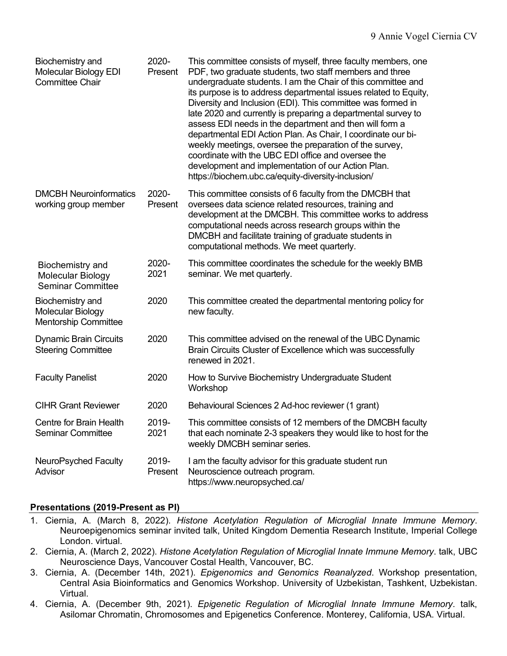| Biochemistry and<br>Molecular Biology EDI<br><b>Committee Chair</b>  | 2020-<br>Present | This committee consists of myself, three faculty members, one<br>PDF, two graduate students, two staff members and three<br>undergraduate students. I am the Chair of this committee and<br>its purpose is to address departmental issues related to Equity,<br>Diversity and Inclusion (EDI). This committee was formed in<br>late 2020 and currently is preparing a departmental survey to<br>assess EDI needs in the department and then will form a<br>departmental EDI Action Plan. As Chair, I coordinate our bi-<br>weekly meetings, oversee the preparation of the survey,<br>coordinate with the UBC EDI office and oversee the<br>development and implementation of our Action Plan.<br>https://biochem.ubc.ca/equity-diversity-inclusion/ |
|----------------------------------------------------------------------|------------------|------------------------------------------------------------------------------------------------------------------------------------------------------------------------------------------------------------------------------------------------------------------------------------------------------------------------------------------------------------------------------------------------------------------------------------------------------------------------------------------------------------------------------------------------------------------------------------------------------------------------------------------------------------------------------------------------------------------------------------------------------|
| <b>DMCBH Neuroinformatics</b><br>working group member                | 2020-<br>Present | This committee consists of 6 faculty from the DMCBH that<br>oversees data science related resources, training and<br>development at the DMCBH. This committee works to address<br>computational needs across research groups within the<br>DMCBH and facilitate training of graduate students in<br>computational methods. We meet quarterly.                                                                                                                                                                                                                                                                                                                                                                                                        |
| Biochemistry and<br>Molecular Biology<br><b>Seminar Committee</b>    | 2020-<br>2021    | This committee coordinates the schedule for the weekly BMB<br>seminar. We met quarterly.                                                                                                                                                                                                                                                                                                                                                                                                                                                                                                                                                                                                                                                             |
| Biochemistry and<br>Molecular Biology<br><b>Mentorship Committee</b> | 2020             | This committee created the departmental mentoring policy for<br>new faculty.                                                                                                                                                                                                                                                                                                                                                                                                                                                                                                                                                                                                                                                                         |
| <b>Dynamic Brain Circuits</b><br><b>Steering Committee</b>           | 2020             | This committee advised on the renewal of the UBC Dynamic<br>Brain Circuits Cluster of Excellence which was successfully<br>renewed in 2021.                                                                                                                                                                                                                                                                                                                                                                                                                                                                                                                                                                                                          |
| <b>Faculty Panelist</b>                                              | 2020             | How to Survive Biochemistry Undergraduate Student<br>Workshop                                                                                                                                                                                                                                                                                                                                                                                                                                                                                                                                                                                                                                                                                        |
| <b>CIHR Grant Reviewer</b>                                           | 2020             | Behavioural Sciences 2 Ad-hoc reviewer (1 grant)                                                                                                                                                                                                                                                                                                                                                                                                                                                                                                                                                                                                                                                                                                     |
| Centre for Brain Health<br><b>Seminar Committee</b>                  | 2019-<br>2021    | This committee consists of 12 members of the DMCBH faculty<br>that each nominate 2-3 speakers they would like to host for the<br>weekly DMCBH seminar series.                                                                                                                                                                                                                                                                                                                                                                                                                                                                                                                                                                                        |
| NeuroPsyched Faculty<br>Advisor                                      | 2019-<br>Present | I am the faculty advisor for this graduate student run<br>Neuroscience outreach program.<br>https://www.neuropsyched.ca/                                                                                                                                                                                                                                                                                                                                                                                                                                                                                                                                                                                                                             |

# **Presentations (2019-Present as PI)**

- 1. Ciernia, A. (March 8, 2022). *Histone Acetylation Regulation of Microglial Innate Immune Memory*. Neuroepigenomics seminar invited talk, United Kingdom Dementia Research Institute, Imperial College London. virtual.
- 2. Ciernia, A. (March 2, 2022). *Histone Acetylation Regulation of Microglial Innate Immune Memory*. talk, UBC Neuroscience Days, Vancouver Costal Health, Vancouver, BC.
- 3. Ciernia, A. (December 14th, 2021). *Epigenomics and Genomics Reanalyzed*. Workshop presentation, Central Asia Bioinformatics and Genomics Workshop. University of Uzbekistan, Tashkent, Uzbekistan. Virtual.
- 4. Ciernia, A. (December 9th, 2021). *Epigenetic Regulation of Microglial Innate Immune Memory*. talk, Asilomar Chromatin, Chromosomes and Epigenetics Conference. Monterey, California, USA. Virtual.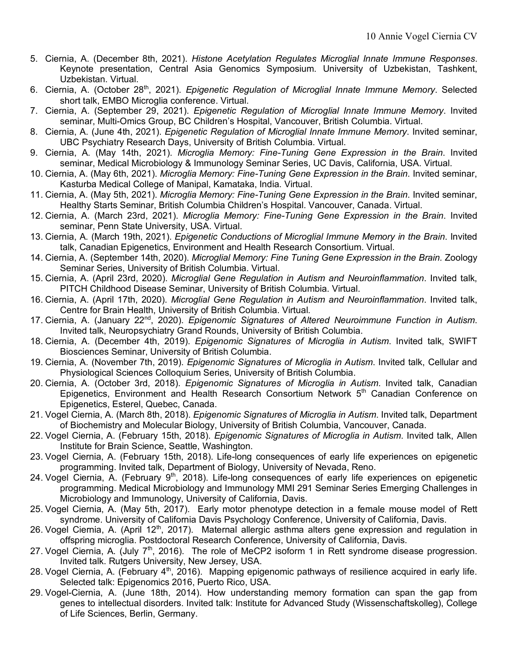- 5. Ciernia, A. (December 8th, 2021). *Histone Acetylation Regulates Microglial Innate Immune Responses*. Keynote presentation, Central Asia Genomics Symposium. University of Uzbekistan, Tashkent, Uzbekistan. Virtual.
- 6. Ciernia, A. (October 28<sup>th</sup>, 2021). *Epigenetic Regulation of Microglial Innate Immune Memory*. Selected short talk, EMBO Microglia conference. Virtual.
- 7. Ciernia, A. (September 29, 2021). *Epigenetic Regulation of Microglial Innate Immune Memory*. Invited seminar, Multi-Omics Group, BC Children's Hospital, Vancouver, British Columbia. Virtual.
- 8. Ciernia, A. (June 4th, 2021). *Epigenetic Regulation of Microglial Innate Immune Memory*. Invited seminar, UBC Psychiatry Research Days, University of British Columbia. Virtual.
- 9. Ciernia, A. (May 14th, 2021). *Microglia Memory: Fine-Tuning Gene Expression in the Brain*. Invited seminar, Medical Microbiology & Immunology Seminar Series, UC Davis, California, USA. Virtual.
- 10. Ciernia, A. (May 6th, 2021). *Microglia Memory: Fine-Tuning Gene Expression in the Brain*. Invited seminar, Kasturba Medical College of Manipal, Kamataka, India. Virtual.
- 11. Ciernia, A. (May 5th, 2021). *Microglia Memory: Fine-Tuning Gene Expression in the Brain*. Invited seminar, Healthy Starts Seminar, British Columbia Children's Hospital. Vancouver, Canada. Virtual.
- 12. Ciernia, A. (March 23rd, 2021). *Microglia Memory: Fine-Tuning Gene Expression in the Brain*. Invited seminar, Penn State University, USA. Virtual.
- 13. Ciernia, A. (March 19th, 2021). *Epigenetic Conductions of Microglial Immune Memory in the Brain*. Invited talk, Canadian Epigenetics, Environment and Health Research Consortium. Virtual.
- 14. Ciernia, A. (September 14th, 2020). *Microglial Memory: Fine Tuning Gene Expression in the Brain.* Zoology Seminar Series, University of British Columbia. Virtual.
- 15. Ciernia, A. (April 23rd, 2020). *Microglial Gene Regulation in Autism and Neuroinflammation*. Invited talk, PITCH Childhood Disease Seminar, University of British Columbia. Virtual.
- 16. Ciernia, A. (April 17th, 2020). *Microglial Gene Regulation in Autism and Neuroinflammation*. Invited talk, Centre for Brain Health, University of British Columbia. Virtual.
- 17. Ciernia, A. (January 22nd, 2020). *Epigenomic Signatures of Altered Neuroimmune Function in Autism*. Invited talk, Neuropsychiatry Grand Rounds, University of British Columbia.
- 18. Ciernia, A. (December 4th, 2019). *Epigenomic Signatures of Microglia in Autism*. Invited talk, SWIFT Biosciences Seminar, University of British Columbia.
- 19. Ciernia, A. (November 7th, 2019). *Epigenomic Signatures of Microglia in Autism*. Invited talk, Cellular and Physiological Sciences Colloquium Series, University of British Columbia.
- 20. Ciernia, A. (October 3rd, 2018). *Epigenomic Signatures of Microglia in Autism*. Invited talk, Canadian Epigenetics, Environment and Health Research Consortium Network 5<sup>th</sup> Canadian Conference on Epigenetics, Esterel, Quebec, Canada.
- 21. Vogel Ciernia, A. (March 8th, 2018). *Epigenomic Signatures of Microglia in Autism*. Invited talk, Department of Biochemistry and Molecular Biology, University of British Columbia, Vancouver, Canada.
- 22. Vogel Ciernia, A. (February 15th, 2018). *Epigenomic Signatures of Microglia in Autism*. Invited talk, Allen Institute for Brain Science, Seattle, Washington.
- 23. Vogel Ciernia, A. (February 15th, 2018). Life-long consequences of early life experiences on epigenetic programming. Invited talk, Department of Biology, University of Nevada, Reno.
- 24. Vogel Ciernia, A. (February 9<sup>th</sup>, 2018). Life-long consequences of early life experiences on epigenetic programming. Medical Microbiology and Immunology MMI 291 Seminar Series Emerging Challenges in Microbiology and Immunology, University of California, Davis.
- 25. Vogel Ciernia, A. (May 5th, 2017). Early motor phenotype detection in a female mouse model of Rett syndrome. University of California Davis Psychology Conference, University of California, Davis.
- 26. Vogel Ciernia, A. (April 12<sup>th</sup>, 2017). Maternal allergic asthma alters gene expression and regulation in offspring microglia. Postdoctoral Research Conference, University of California, Davis.
- 27. Vogel Ciernia, A. (July  $7<sup>th</sup>$ , 2016). The role of MeCP2 isoform 1 in Rett syndrome disease progression. Invited talk. Rutgers University, New Jersey, USA.
- 28. Vogel Ciernia, A. (February 4<sup>th</sup>, 2016). Mapping epigenomic pathways of resilience acquired in early life. Selected talk: Epigenomics 2016, Puerto Rico, USA.
- 29. Vogel-Ciernia, A. (June 18th, 2014). How understanding memory formation can span the gap from genes to intellectual disorders. Invited talk: Institute for Advanced Study (Wissenschaftskolleg), College of Life Sciences, Berlin, Germany.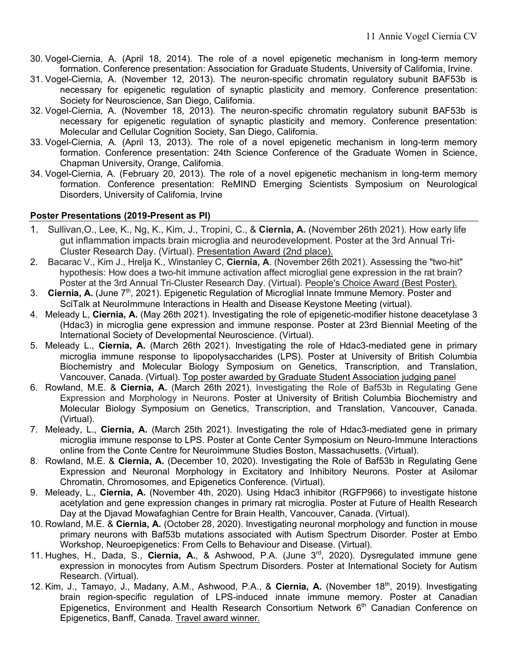- 30. Vogel-Ciernia, A. (April 18, 2014). The role of a novel epigenetic mechanism in long-term memory formation. Conference presentation: Association for Graduate Students, University of California, Irvine.
- 31. Vogel-Ciernia, A. (November 12, 2013). The neuron-specific chromatin regulatory subunit BAF53b is necessary for epigenetic regulation of synaptic plasticity and memory. Conference presentation: Society for Neuroscience, San Diego, California.
- 32. Vogel-Ciernia, A. (November 18, 2013). The neuron-specific chromatin regulatory subunit BAF53b is necessary for epigenetic regulation of synaptic plasticity and memory. Conference presentation: Molecular and Cellular Cognition Society, San Diego, California.
- 33. Vogel-Ciernia, A. (April 13, 2013). The role of a novel epigenetic mechanism in long-term memory formation. Conference presentation: 24th Science Conference of the Graduate Women in Science, Chapman University, Orange, California.
- 34. Vogel-Ciernia, A. (February 20, 2013). The role of a novel epigenetic mechanism in long-term memory formation. Conference presentation: ReMIND Emerging Scientists Symposium on Neurological Disorders, University of California, Irvine

# **Poster Presentations (2019-Present as PI)**

- 1. Sullivan,O., Lee, K., Ng, K., Kim, J., Tropini, C., & **Ciernia, A.** (November 26th 2021). How early life gut inflammation impacts brain microglia and neurodevelopment. Poster at the 3rd Annual Tri-Cluster Research Day. (Virtual). Presentation Award (2nd place).
- 2. Bacarac V., Kim J., Hrelja K., Winstanley C, **Ciernia, A**. (November 26th 2021). Assessing the "two-hit" hypothesis: How does a two-hit immune activation affect microglial gene expression in the rat brain? Poster at the 3rd Annual Tri-Cluster Research Day. (Virtual). People's Choice Award (Best Poster).
- 3. Ciernia, A. (June 7<sup>th</sup>, 2021). Epigenetic Regulation of Microglial Innate Immune Memory. Poster and SciTalk at NeuroImmune Interactions in Health and Disease Keystone Meeting (virtual).
- 4. Meleady L, **Ciernia, A.** (May 26th 2021). Investigating the role of epigenetic-modifier histone deacetylase 3 (Hdac3) in microglia gene expression and immune response. Poster at 23rd Biennial Meeting of the International Society of Developmental Neuroscience. (Virtual).
- 5. Meleady L., **Ciernia, A.** (March 26th 2021). Investigating the role of Hdac3-mediated gene in primary microglia immune response to lipopolysaccharides (LPS). Poster at University of British Columbia Biochemistry and Molecular Biology Symposium on Genetics, Transcription, and Translation, Vancouver, Canada. (Virtual). Top poster awarded by Graduate Student Association judging panel
- 6. Rowland, M.E. & **Ciernia, A.** (March 26th 2021). Investigating the Role of Baf53b in Regulating Gene Expression and Morphology in Neurons. Poster at University of British Columbia Biochemistry and Molecular Biology Symposium on Genetics, Transcription, and Translation, Vancouver, Canada. (Virtual).
- 7. Meleady, L., **Ciernia, A.** (March 25th 2021). Investigating the role of Hdac3-mediated gene in primary microglia immune response to LPS. Poster at Conte Center Symposium on Neuro-Immune Interactions online from the Conte Centre for Neuroimmune Studies Boston, Massachusetts. (Virtual).
- 8. Rowland, M.E. & **Ciernia, A.** (December 10, 2020). Investigating the Role of Baf53b in Regulating Gene Expression and Neuronal Morphology in Excitatory and Inhibitory Neurons. Poster at Asilomar Chromatin, Chromosomes, and Epigenetics Conference. (Virtual).
- 9. Meleady, L., **Ciernia, A.** (November 4th, 2020). Using Hdac3 inhibitor (RGFP966) to investigate histone acetylation and gene expression changes in primary rat microglia. Poster at Future of Health Research Day at the Djavad Mowafaghian Centre for Brain Health, Vancouver, Canada. (Virtual).
- 10. Rowland, M.E. & **Ciernia, A.** (October 28, 2020). Investigating neuronal morphology and function in mouse primary neurons with Baf53b mutations associated with Autism Spectrum Disorder. Poster at Embo Workshop, Neuroepigenetics: From Cells to Behaviour and Disease. (Virtual).
- 11. Hughes, H., Dada, S., **Ciernia, A.**, & Ashwood, P.A. (June 3rd, 2020). Dysregulated immune gene expression in monocytes from Autism Spectrum Disorders. Poster at International Society for Autism Research. (Virtual).
- 12. Kim, J., Tamayo, J., Madany, A.M., Ashwood, P.A., & Ciernia, A. (November 18<sup>th</sup>, 2019). Investigating brain region-specific regulation of LPS-induced innate immune memory. Poster at Canadian Epigenetics, Environment and Health Research Consortium Network 6<sup>th</sup> Canadian Conference on Epigenetics, Banff, Canada. Travel award winner.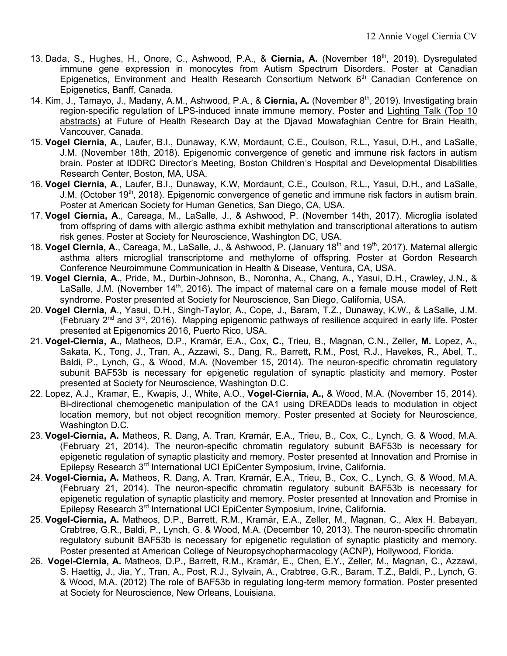- 13. Dada, S., Hughes, H., Onore, C., Ashwood, P.A., & **Ciernia, A.** (November 18th, 2019). Dysregulated immune gene expression in monocytes from Autism Spectrum Disorders. Poster at Canadian Epigenetics, Environment and Health Research Consortium Network 6<sup>th</sup> Canadian Conference on Epigenetics, Banff, Canada.
- 14. Kim, J., Tamayo, J., Madany, A.M., Ashwood, P.A., & Ciernia, A. (November 8<sup>th</sup>, 2019). Investigating brain region-specific regulation of LPS-induced innate immune memory. Poster and Lighting Talk (Top 10 abstracts) at Future of Health Research Day at the Djavad Mowafaghian Centre for Brain Health, Vancouver, Canada.
- 15. **Vogel Ciernia, A**., Laufer, B.I., Dunaway, K.W, Mordaunt, C.E., Coulson, R.L., Yasui, D.H., and LaSalle, J.M. (November 18th, 2018). Epigenomic convergence of genetic and immune risk factors in autism brain. Poster at IDDRC Director's Meeting, Boston Children's Hospital and Developmental Disabilities Research Center, Boston, MA, USA.
- 16. **Vogel Ciernia, A**., Laufer, B.I., Dunaway, K.W, Mordaunt, C.E., Coulson, R.L., Yasui, D.H., and LaSalle, J.M. (October 19<sup>th</sup>, 2018). Epigenomic convergence of genetic and immune risk factors in autism brain. Poster at American Society for Human Genetics, San Diego, CA, USA.
- 17. **Vogel Ciernia, A**., Careaga, M., LaSalle, J., & Ashwood, P. (November 14th, 2017). Microglia isolated from offspring of dams with allergic asthma exhibit methylation and transcriptional alterations to autism risk genes. Poster at Society for Neuroscience, Washington DC, USA.
- 18. **Vogel Ciernia, A**., Careaga, M., LaSalle, J., & Ashwood, P. (January 18th and 19th, 2017). Maternal allergic asthma alters microglial transcriptome and methylome of offspring. Poster at Gordon Research Conference Neuroimmune Communication in Health & Disease, Ventura, CA, USA.
- 19. **Vogel Ciernia, A.**, Pride, M., Durbin-Johnson, B., Noronha, A., Chang, A., Yasui, D.H., Crawley, J.N., & LaSalle, J.M. (November 14<sup>th</sup>, 2016). The impact of maternal care on a female mouse model of Rett syndrome. Poster presented at Society for Neuroscience, San Diego, California, USA.
- 20. **Vogel Ciernia, A**., Yasui, D.H., Singh-Taylor, A., Cope, J., Baram, T.Z., Dunaway, K.W., & LaSalle, J.M. (February  $2^{nd}$  and  $3^{rd}$ , 2016). Mapping epigenomic pathways of resilience acquired in early life. Poster presented at Epigenomics 2016, Puerto Rico, USA.
- 21. **Vogel-Ciernia, A.**, Matheos, D.P., Kramár, E.A., Cox**, C.,** Trieu, B., Magnan, C.N., Zeller**, M.** Lopez, A., Sakata, K., Tong, J., Tran, A., Azzawi, S., Dang, R., Barrett**,** R.M., Post, R.J., Havekes, R., Abel, T., Baldi, P., Lynch, G., & Wood, M.A. (November 15, 2014). The neuron-specific chromatin regulatory subunit BAF53b is necessary for epigenetic regulation of synaptic plasticity and memory. Poster presented at Society for Neuroscience, Washington D.C.
- 22. Lopez, A.J., Kramar, E., Kwapis, J., White, A.O., **Vogel-Ciernia, A.,** & Wood, M.A. (November 15, 2014). Bi-directional chemogenetic manipulation of the CA1 using DREADDs leads to modulation in object location memory, but not object recognition memory. Poster presented at Society for Neuroscience, Washington D.C.
- 23. **Vogel-Ciernia, A.** Matheos, R. Dang, A. Tran, Kramár, E.A., Trieu, B., Cox, C., Lynch, G. & Wood, M.A. (February 21, 2014). The neuron-specific chromatin regulatory subunit BAF53b is necessary for epigenetic regulation of synaptic plasticity and memory. Poster presented at Innovation and Promise in Epilepsy Research 3rd International UCI EpiCenter Symposium, Irvine, California.
- 24. **Vogel-Ciernia, A.** Matheos, R. Dang, A. Tran, Kramár, E.A., Trieu, B., Cox, C., Lynch, G. & Wood, M.A. (February 21, 2014). The neuron-specific chromatin regulatory subunit BAF53b is necessary for epigenetic regulation of synaptic plasticity and memory. Poster presented at Innovation and Promise in Epilepsy Research 3rd International UCI EpiCenter Symposium, Irvine, California.
- 25. **Vogel-Ciernia, A.** Matheos, D.P., Barrett, R.M., Kramár, E.A., Zeller, M., Magnan, C., Alex H. Babayan, Crabtree, G.R., Baldi, P., Lynch, G. & Wood, M.A. (December 10, 2013). The neuron-specific chromatin regulatory subunit BAF53b is necessary for epigenetic regulation of synaptic plasticity and memory. Poster presented at American College of Neuropsychopharmacology (ACNP), Hollywood, Florida.
- 26. **Vogel-Ciernia, A.** Matheos, D.P., Barrett, R.M., Kramár, E., Chen, E.Y., Zeller, M., Magnan, C., Azzawi, S. Haettig, J., Jia, Y., Tran, A., Post, R.J., Sylvain, A., Crabtree, G.R., Baram, T.Z., Baldi, P., Lynch, G. & Wood, M.A. (2012) The role of BAF53b in regulating long-term memory formation. Poster presented at Society for Neuroscience, New Orleans, Louisiana.